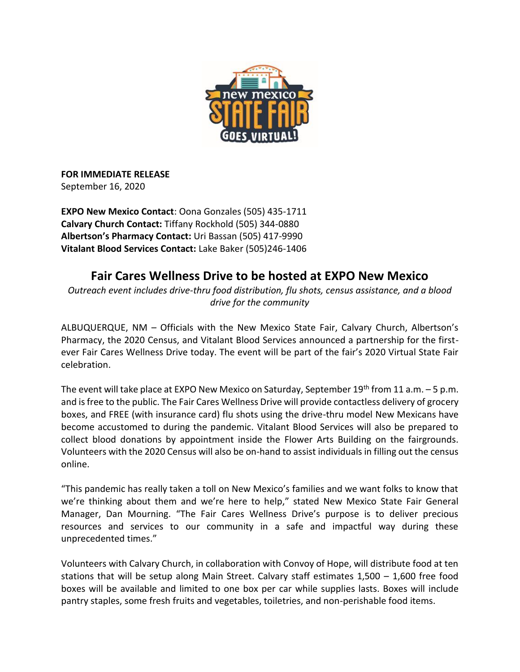

**FOR IMMEDIATE RELEASE** September 16, 2020

**EXPO New Mexico Contact**: Oona Gonzales (505) 435-1711 **Calvary Church Contact:** Tiffany Rockhold (505) 344-0880 **Albertson's Pharmacy Contact:** Uri Bassan (505) 417-9990 **Vitalant Blood Services Contact:** Lake Baker (505)246-1406

## **Fair Cares Wellness Drive to be hosted at EXPO New Mexico**

*Outreach event includes drive-thru food distribution, flu shots, census assistance, and a blood drive for the community*

ALBUQUERQUE, NM – Officials with the New Mexico State Fair, Calvary Church, Albertson's Pharmacy, the 2020 Census, and Vitalant Blood Services announced a partnership for the firstever Fair Cares Wellness Drive today. The event will be part of the fair's 2020 Virtual State Fair celebration.

The event will take place at EXPO New Mexico on Saturday, September 19<sup>th</sup> from 11 a.m.  $-5$  p.m. and is free to the public. The Fair Cares Wellness Drive will provide contactless delivery of grocery boxes, and FREE (with insurance card) flu shots using the drive-thru model New Mexicans have become accustomed to during the pandemic. Vitalant Blood Services will also be prepared to collect blood donations by appointment inside the Flower Arts Building on the fairgrounds. Volunteers with the 2020 Census will also be on-hand to assist individuals in filling out the census online.

"This pandemic has really taken a toll on New Mexico's families and we want folks to know that we're thinking about them and we're here to help," stated New Mexico State Fair General Manager, Dan Mourning. "The Fair Cares Wellness Drive's purpose is to deliver precious resources and services to our community in a safe and impactful way during these unprecedented times."

Volunteers with Calvary Church, in collaboration with Convoy of Hope, will distribute food at ten stations that will be setup along Main Street. Calvary staff estimates 1,500 – 1,600 free food boxes will be available and limited to one box per car while supplies lasts. Boxes will include pantry staples, some fresh fruits and vegetables, toiletries, and non-perishable food items.